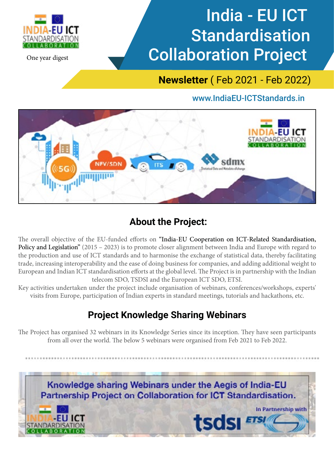

One year digest

# India - EU ICT **Standardisation** Collaboration Project

**Newsletter** ( Feb 2021 - Feb 2022)

## www.IndiaEU-ICTStandards.in



# **About the Project:**

The overall objective of the EU-funded efforts on "India-EU Cooperation on ICT-Related Standardisation, Policy and Legislation" (2015 – 2023) is to promote closer alignment between India and Europe with regard to the production and use of ICT standards and to harmonise the exchange of statistical data, thereby facilitating trade, increasing interoperability and the ease of doing business for companies, and adding additional weight to European and Indian ICT standardisation efforts at the global level. The Project is in partnership with the Indian telecom SDO, TSDSI and the European ICT SDO, ETSI.

Key activities undertaken under the project include organisation of webinars, conferences/workshops, experts' visits from Europe, participation of Indian experts in standard meetings, tutorials and hackathons, etc.

# **Project Knowledge Sharing Webinars**

The Project has organised 32 webinars in its Knowledge Series since its inception. They have seen participants from all over the world. The below 5 webinars were organised from Feb 2021 to Feb 2022.

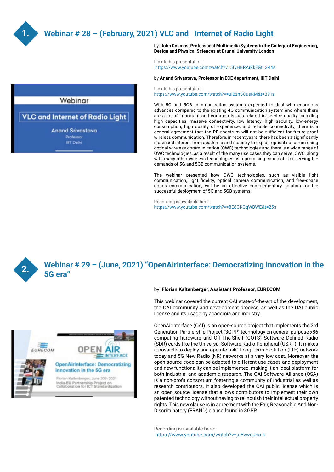

## **Webinar # 28 – (February, 2021) VLC and Internet of Radio Light**



by: **John Cosmas, Professor of Multimedia Systems in the College of Engineering, Design and Physical Sciences at Brunel University London**

Link to his presentation: https://www.youtube.comzwatch?v=5fyHBRArZkE&t=344s

#### by **Anand Srivastava, Professor in ECE department, IIIT Delhi**

Link to his presentation: https://www.youtube.com/watch?v=ulBznSCueRM&t=391s

With 5G and 5GB communication systems expected to deal with enormous advances compared to the existing 4G communication system and where there are a lot of important and common issues related to service quality including high capacities, massive connectivity, low latency, high security, low-energy consumption, high quality of experience, and reliable connectivity, there is a general agreement that the RF spectrum will not be sufficient for future-proof wireless communication. Therefore, in recent years, there has been a significantly increased interest from academia and industry to exploit optical spectrum using optical wireless communication (OWC) technologies and there is a wide range of OWC technologies, as a result of the many use cases they can serve. OWC, along with many other wireless technologies, is a promising candidate for serving the demands of 5G and 5GB communication systems.

The webinar presented how OWC technologies, such as visible light communication, light fidelity, optical camera communication, and free-space optics communication, will be an effective complementary solution for the successful deployment of 5G and 5GB systems.

Recording is available here: https://www.youtube.com/watch?v=8E8GKGqWBWE&t=25s



### **Webinar # 29 – (June, 2021) "OpenAirInterface: Democratizing innovation in the 5G era"**



This webinar covered the current OAI state-of-the-art of the development, the OAI community and development process, as well as the OAI public license and its usage by academia and industry.

OpenAirInterface (OAI) is an open-source project that implements the 3rd Generation Partnership Project (3GPP) technology on general purpose x86 computing hardware and Off-The-Shelf (COTS) Software Defined Radio (SDR) cards like the Universal Software Radio Peripheral (USRP). It makes it possible to deploy and operate a 4G Long-Term Evolution (LTE) network today and 5G New Radio (NR) networks at a very low cost. Moreover, the open-source code can be adapted to different use cases and deployment and new functionality can be implemented, making it an ideal platform for both industrial and academic research. The OAI Software Alliance (OSA) is a non-profit consortium fostering a community of industrial as well as research contributors. It also developed the OAI public license which is an open source license that allows contributors to implement their own patented technology without having to relinquish their intellectual property rights. This new clause is in agreement with the Fair, Reasonable And Non-Discriminatory (FRAND) clause found in 3GPP.

Recording is available here: https://www.youtube.com/watch?v=juYvwoJno-k

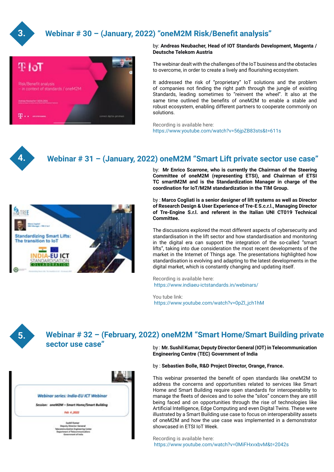

## **Webinar # 30 – (January, 2022) "oneM2M Risk/Benefit analysis"**



#### by: **Andreas Neubacher, Head of IOT Standards Development, Magenta / Deutsche Telekom Austria**

The webinar dealt with the challenges of the IoT business and the obstacles to overcome, in order to create a lively and flourishing ecosystem.

It addressed the risk of "proprietary" IoT solutions and the problem of companies not finding the right path through the jungle of existing Standards, leading sometimes to "reinvent the wheel". It also at the same time outlined the benefits of oneM2M to enable a stable and robust ecosystem, enabling different partners to cooperate commonly on solutions.

Recording is available here: https://www.youtube.com/watch?v=56jpZB83sts&t=611s



#### **Webinar # 31 – (January, 2022) oneM2M "Smart Lift private sector use case"**



by: **Mr Enrico Scarrone, who is currently the Chairman of the Steering Committee of oneM2M (representing ETSI), and Chairman of ETSI TC smartM2M and is the Standardization Manager in charge of the coordination for IoT/M2M standardization in the TIM Group.**

by : **Marco Cogliati is a senior designer of lift systems as well as Director of Research Design & User Experience of Tre-E S.c.r.l., Managing Director of Tre-Engine S.r.l. and referent in the Italian UNI CT019 Technical Committee.**

The discussions explored the most different aspects of cybersecurity and standardisation in the lift sector and how standardisation and monitoring in the digital era can support the integration of the so-called "smart lifts", taking into due consideration the most recent developments of the market in the Internet of Things age. The presentations highlighted how standardisation is evolving and adapting to the latest developments in the digital market, which is constantly changing and updating itself.

Recording is available here: https://www.indiaeu-ictstandards.in/webinars/

You tube link: https://www.youtube.com/watch?v=0pZl\_jch1hM



#### **Webinar # 32 – (February, 2022) oneM2M "Smart Home/Smart Building private sector use case"**  by : **Mr. Sushil Kumar, Deputy Director General (IOT) in Telecommunication**

| Feb 4,3022                      |                                                                                                             |
|---------------------------------|-------------------------------------------------------------------------------------------------------------|
|                                 |                                                                                                             |
| <b>Things Story</b>             |                                                                                                             |
| Equatorum of Telecommunications |                                                                                                             |
|                                 | Webinar series: India-EU ICT Webinar<br>Session: oneM2M - Smart Home/Smart Building<br>an Engineering Conta |

# **Engineering Centre (TEC) Government of India**

by : **Sebastien Bolle, R&D Project Director, Orange, France.** 

This webinar presented the benefit of open standards like oneM2M to address the concerns and opportunities related to services like Smart Home and Smart Building require open standards for interoperability to manage the fleets of devices and to solve the "silos" concern they are still being faced and on opportunities through the rise of technologies like Artificial Intelligence, Edge Computing and even Digital Twins. These were illustrated by a Smart Building use case to focus on interoperability assets of oneM2M and how the use case was implemented in a demonstrator showcased in ETSI IoT Week.

Recording is available here: https://www.youtube.com/watch?v=0MiFHxvxbvM&t=2042s